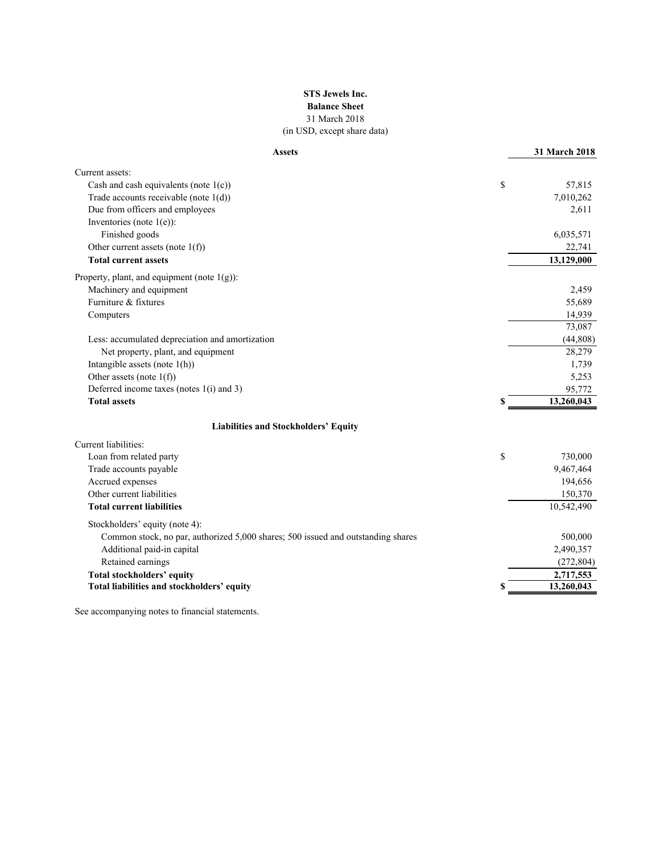### **STS Jewels Inc. Balance Sheet** 31 March 2018 (in USD, except share data)

| <b>Assets</b>                                                                    |    | 31 March 2018 |
|----------------------------------------------------------------------------------|----|---------------|
| Current assets:                                                                  |    |               |
| Cash and cash equivalents (note $1(c)$ )                                         | \$ | 57,815        |
| Trade accounts receivable (note 1(d))                                            |    | 7,010,262     |
| Due from officers and employees                                                  |    | 2,611         |
| Inventories (note $1(e)$ ):                                                      |    |               |
| Finished goods                                                                   |    | 6,035,571     |
| Other current assets (note $1(f)$ )                                              |    | 22,741        |
| <b>Total current assets</b>                                                      |    | 13,129,000    |
| Property, plant, and equipment (note $1(g)$ ):                                   |    |               |
| Machinery and equipment                                                          |    | 2,459         |
| Furniture & fixtures                                                             |    | 55,689        |
| Computers                                                                        |    | 14,939        |
|                                                                                  |    | 73,087        |
| Less: accumulated depreciation and amortization                                  |    | (44,808)      |
| Net property, plant, and equipment                                               |    | 28,279        |
| Intangible assets (note $1(h)$ )                                                 |    | 1,739         |
| Other assets (note $1(f)$ )                                                      |    | 5,253         |
| Deferred income taxes (notes 1(i) and 3)                                         |    | 95,772        |
| <b>Total assets</b>                                                              | S  | 13,260,043    |
| <b>Liabilities and Stockholders' Equity</b>                                      |    |               |
| Current liabilities:                                                             |    |               |
| Loan from related party                                                          | \$ | 730,000       |
| Trade accounts payable                                                           |    | 9,467,464     |
| Accrued expenses                                                                 |    | 194,656       |
| Other current liabilities                                                        |    | 150,370       |
| <b>Total current liabilities</b>                                                 |    | 10,542,490    |
| Stockholders' equity (note 4):                                                   |    |               |
| Common stock, no par, authorized 5,000 shares; 500 issued and outstanding shares |    | 500,000       |
| Additional paid-in capital                                                       |    | 2,490,357     |
| Retained earnings                                                                |    | (272, 804)    |
| <b>Total stockholders' equity</b>                                                |    | 2,717,553     |
| Total liabilities and stockholders' equity                                       |    | 13,260,043    |
|                                                                                  |    |               |

See accompanying notes to financial statements.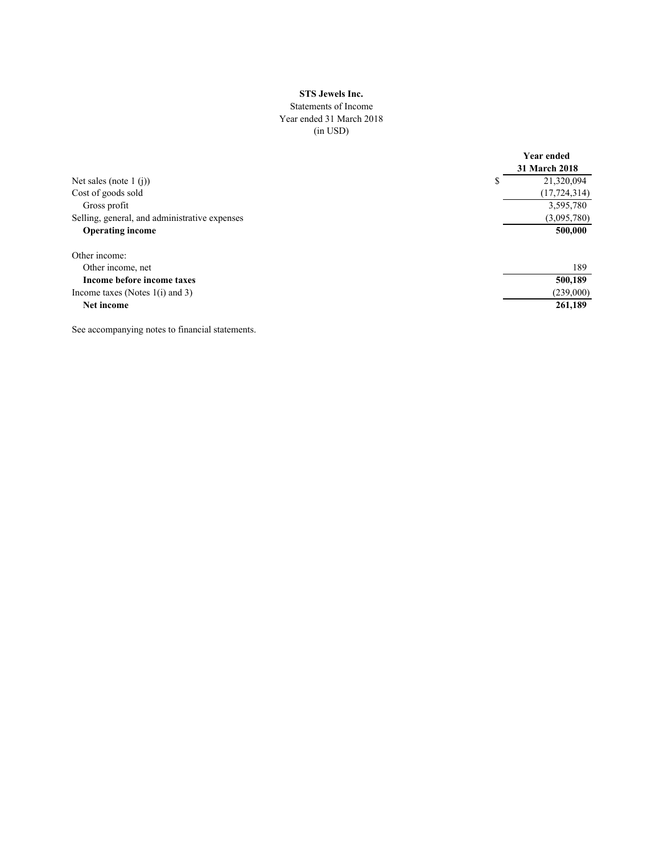### **STS Jewels Inc.**

### Statements of Income Year ended 31 March 2018 (in USD)

|                                               |   | <b>Year ended</b><br><b>31 March 2018</b> |
|-----------------------------------------------|---|-------------------------------------------|
| Net sales (note 1 $(i)$ )                     | S | 21,320,094                                |
| Cost of goods sold                            |   | (17, 724, 314)                            |
| Gross profit                                  |   | 3,595,780                                 |
| Selling, general, and administrative expenses |   | (3,095,780)                               |
| <b>Operating income</b>                       |   | 500,000                                   |
| Other income:                                 |   |                                           |
| Other income, net                             |   | 189                                       |
| Income before income taxes                    |   | 500,189                                   |
| Income taxes (Notes $1(i)$ and 3)             |   | (239,000)                                 |
| Net income                                    |   | 261,189                                   |

See accompanying notes to financial statements.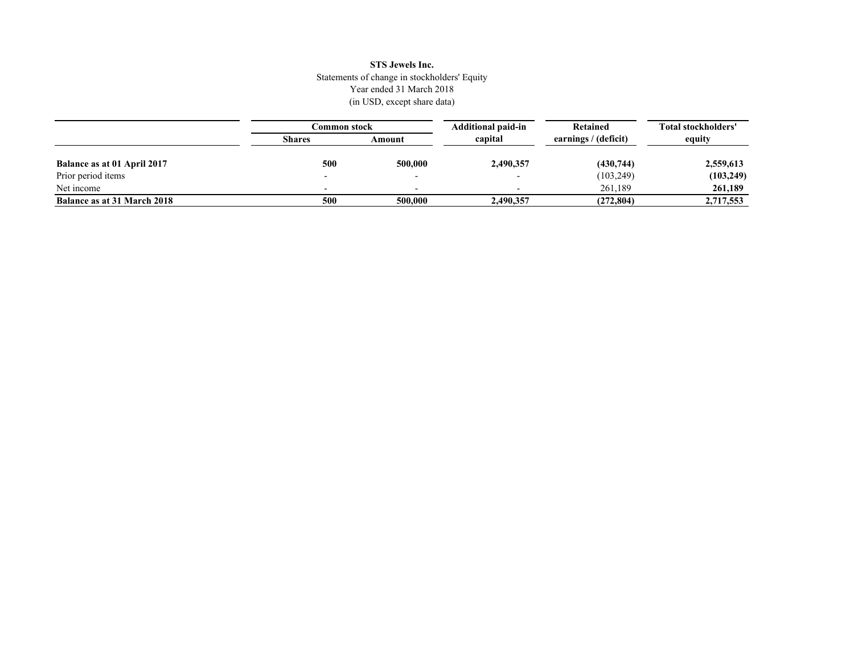### **STS Jewels Inc.** Statements of change in stockholders' Equity Year ended 31 March 2018 (in USD, except share data)

|                                    | Common stock  |         | <b>Additional paid-in</b> | Retained             | Total stockholders' |
|------------------------------------|---------------|---------|---------------------------|----------------------|---------------------|
|                                    | <b>Shares</b> | Amount  | capital                   | earnings / (deficit) | equity              |
| Balance as at 01 April 2017        | 500           | 500,000 | 2,490,357                 | (430,744)            | 2,559,613           |
| Prior period items                 |               |         |                           | (103, 249)           | (103, 249)          |
| Net income                         |               |         |                           | 261.189              | 261,189             |
| <b>Balance as at 31 March 2018</b> | 500           | 500,000 | 2,490,357                 | (272, 804)           | 2,717,553           |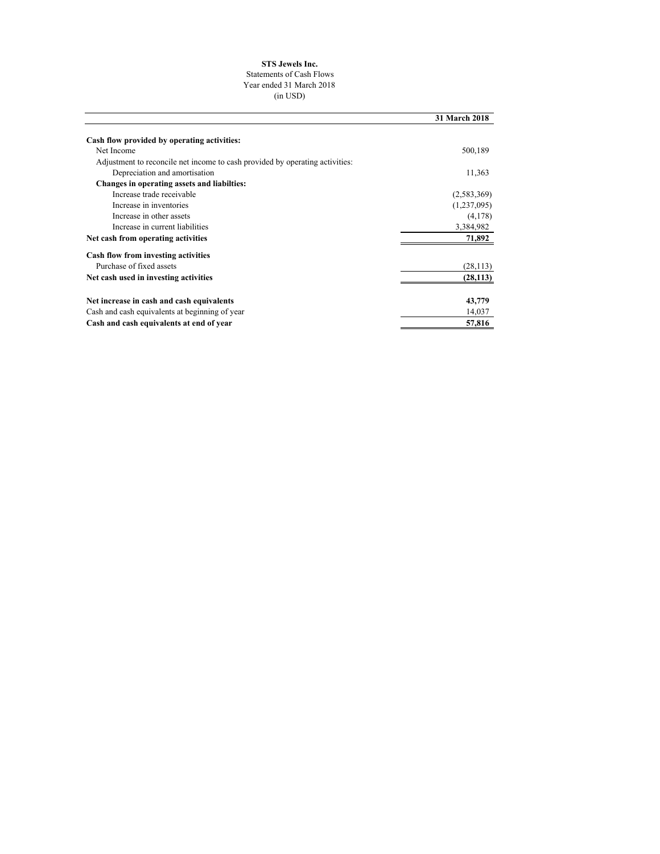#### **STS Jewels Inc.**

#### Statements of Cash Flows Year ended 31 March 2018

(in USD)

|                                                                              | 31 March 2018 |
|------------------------------------------------------------------------------|---------------|
|                                                                              |               |
| Cash flow provided by operating activities:                                  |               |
| Net Income                                                                   | 500,189       |
| Adjustment to reconcile net income to cash provided by operating activities: |               |
| Depreciation and amortisation                                                | 11,363        |
| Changes in operating assets and liabilties:                                  |               |
| Increase trade receivable                                                    | (2,583,369)   |
| Increase in inventories                                                      | (1,237,095)   |
| Increase in other assets                                                     | (4,178)       |
| Increase in current liabilities                                              | 3,384,982     |
| Net cash from operating activities                                           | 71,892        |
| Cash flow from investing activities                                          |               |
| Purchase of fixed assets                                                     | (28, 113)     |
| Net cash used in investing activities                                        | (28, 113)     |
| Net increase in cash and cash equivalents                                    | 43,779        |
| Cash and cash equivalents at beginning of year                               | 14,037        |
| Cash and cash equivalents at end of year                                     | 57,816        |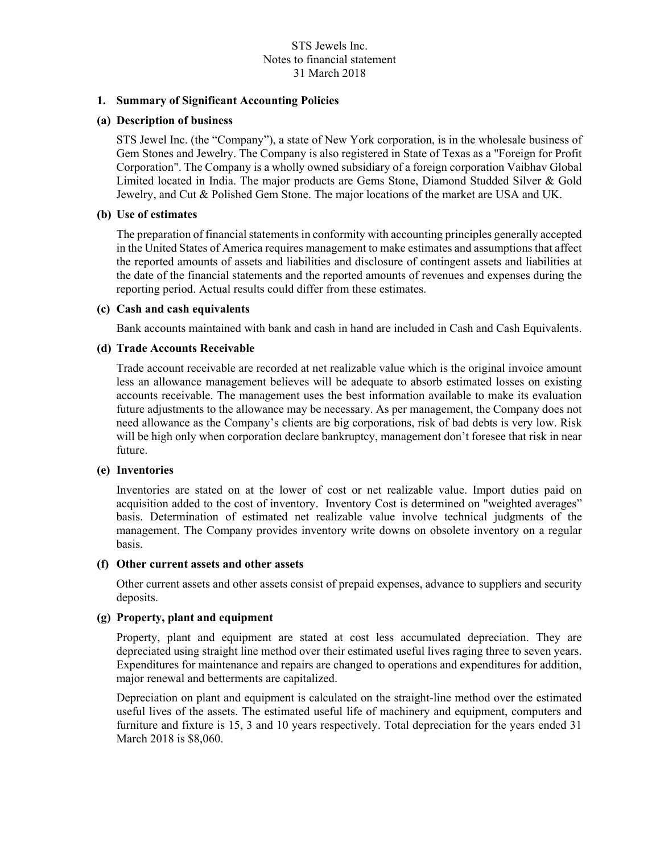## **1. Summary of Significant Accounting Policies**

### **(a) Description of business**

STS Jewel Inc. (the "Company"), a state of New York corporation, is in the wholesale business of Gem Stones and Jewelry. The Company is also registered in State of Texas as a "Foreign for Profit Corporation". The Company is a wholly owned subsidiary of a foreign corporation Vaibhav Global Limited located in India. The major products are Gems Stone, Diamond Studded Silver & Gold Jewelry, and Cut & Polished Gem Stone. The major locations of the market are USA and UK.

### **(b) Use of estimates**

The preparation of financial statements in conformity with accounting principles generally accepted in the United States of America requires management to make estimates and assumptions that affect the reported amounts of assets and liabilities and disclosure of contingent assets and liabilities at the date of the financial statements and the reported amounts of revenues and expenses during the reporting period. Actual results could differ from these estimates.

### **(c) Cash and cash equivalents**

Bank accounts maintained with bank and cash in hand are included in Cash and Cash Equivalents.

## **(d) Trade Accounts Receivable**

Trade account receivable are recorded at net realizable value which is the original invoice amount less an allowance management believes will be adequate to absorb estimated losses on existing accounts receivable. The management uses the best information available to make its evaluation future adjustments to the allowance may be necessary. As per management, the Company does not need allowance as the Company's clients are big corporations, risk of bad debts is very low. Risk will be high only when corporation declare bankruptcy, management don't foresee that risk in near future.

## **(e) Inventories**

Inventories are stated on at the lower of cost or net realizable value. Import duties paid on acquisition added to the cost of inventory. Inventory Cost is determined on "weighted averages" basis. Determination of estimated net realizable value involve technical judgments of the management. The Company provides inventory write downs on obsolete inventory on a regular basis.

### **(f) Other current assets and other assets**

Other current assets and other assets consist of prepaid expenses, advance to suppliers and security deposits.

# **(g) Property, plant and equipment**

Property, plant and equipment are stated at cost less accumulated depreciation. They are depreciated using straight line method over their estimated useful lives raging three to seven years. Expenditures for maintenance and repairs are changed to operations and expenditures for addition, major renewal and betterments are capitalized.

Depreciation on plant and equipment is calculated on the straight-line method over the estimated useful lives of the assets. The estimated useful life of machinery and equipment, computers and furniture and fixture is 15, 3 and 10 years respectively. Total depreciation for the years ended 31 March 2018 is \$8,060.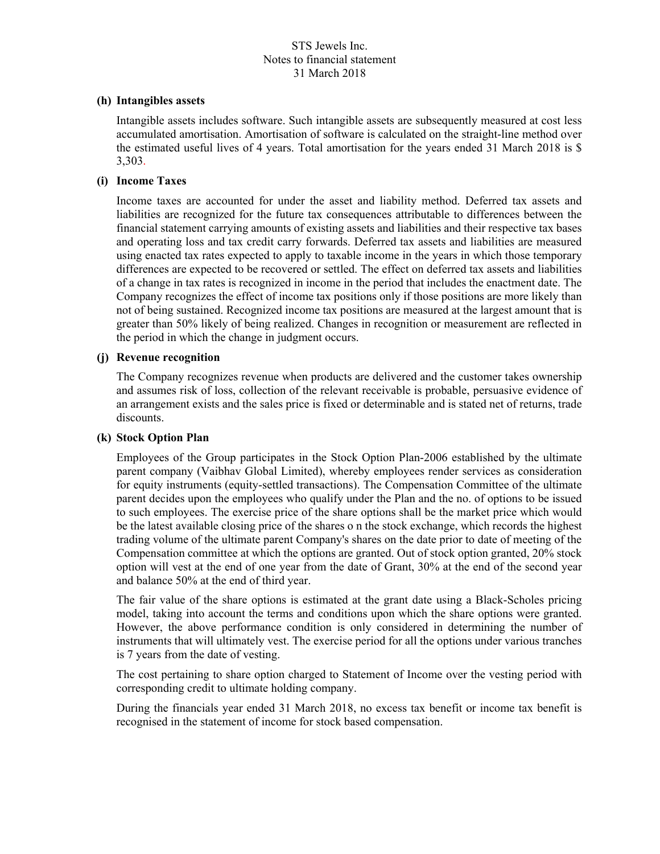### **(h) Intangibles assets**

Intangible assets includes software. Such intangible assets are subsequently measured at cost less accumulated amortisation. Amortisation of software is calculated on the straight-line method over the estimated useful lives of 4 years. Total amortisation for the years ended 31 March 2018 is \$ 3,303.

### **(i) Income Taxes**

Income taxes are accounted for under the asset and liability method. Deferred tax assets and liabilities are recognized for the future tax consequences attributable to differences between the financial statement carrying amounts of existing assets and liabilities and their respective tax bases and operating loss and tax credit carry forwards. Deferred tax assets and liabilities are measured using enacted tax rates expected to apply to taxable income in the years in which those temporary differences are expected to be recovered or settled. The effect on deferred tax assets and liabilities of a change in tax rates is recognized in income in the period that includes the enactment date. The Company recognizes the effect of income tax positions only if those positions are more likely than not of being sustained. Recognized income tax positions are measured at the largest amount that is greater than 50% likely of being realized. Changes in recognition or measurement are reflected in the period in which the change in judgment occurs.

### **(j) Revenue recognition**

The Company recognizes revenue when products are delivered and the customer takes ownership and assumes risk of loss, collection of the relevant receivable is probable, persuasive evidence of an arrangement exists and the sales price is fixed or determinable and is stated net of returns, trade discounts.

#### **(k) Stock Option Plan**

Employees of the Group participates in the Stock Option Plan-2006 established by the ultimate parent company (Vaibhav Global Limited), whereby employees render services as consideration for equity instruments (equity-settled transactions). The Compensation Committee of the ultimate parent decides upon the employees who qualify under the Plan and the no. of options to be issued to such employees. The exercise price of the share options shall be the market price which would be the latest available closing price of the shares o n the stock exchange, which records the highest trading volume of the ultimate parent Company's shares on the date prior to date of meeting of the Compensation committee at which the options are granted. Out of stock option granted, 20% stock option will vest at the end of one year from the date of Grant, 30% at the end of the second year and balance 50% at the end of third year.

The fair value of the share options is estimated at the grant date using a Black-Scholes pricing model, taking into account the terms and conditions upon which the share options were granted. However, the above performance condition is only considered in determining the number of instruments that will ultimately vest. The exercise period for all the options under various tranches is 7 years from the date of vesting.

The cost pertaining to share option charged to Statement of Income over the vesting period with corresponding credit to ultimate holding company.

During the financials year ended 31 March 2018, no excess tax benefit or income tax benefit is recognised in the statement of income for stock based compensation.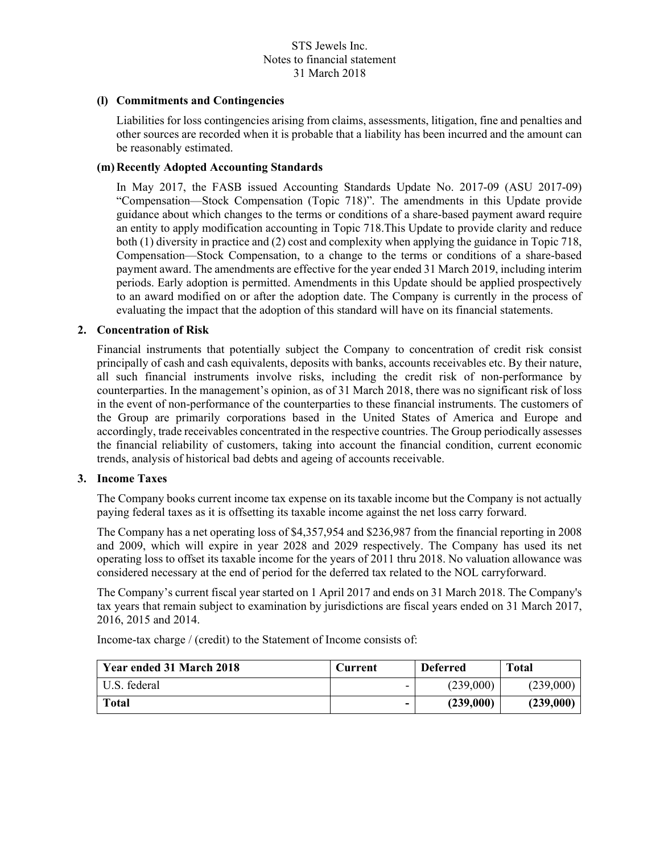## **(l) Commitments and Contingencies**

Liabilities for loss contingencies arising from claims, assessments, litigation, fine and penalties and other sources are recorded when it is probable that a liability has been incurred and the amount can be reasonably estimated.

## **(m)Recently Adopted Accounting Standards**

In May 2017, the FASB issued Accounting Standards Update No. 2017-09 (ASU 2017-09) "Compensation—Stock Compensation (Topic 718)". The amendments in this Update provide guidance about which changes to the terms or conditions of a share-based payment award require an entity to apply modification accounting in Topic 718.This Update to provide clarity and reduce both (1) diversity in practice and (2) cost and complexity when applying the guidance in Topic 718, Compensation—Stock Compensation, to a change to the terms or conditions of a share-based payment award. The amendments are effective for the year ended 31 March 2019, including interim periods. Early adoption is permitted. Amendments in this Update should be applied prospectively to an award modified on or after the adoption date. The Company is currently in the process of evaluating the impact that the adoption of this standard will have on its financial statements.

## **2. Concentration of Risk**

Financial instruments that potentially subject the Company to concentration of credit risk consist principally of cash and cash equivalents, deposits with banks, accounts receivables etc. By their nature, all such financial instruments involve risks, including the credit risk of non-performance by counterparties. In the management's opinion, as of 31 March 2018, there was no significant risk of loss in the event of non-performance of the counterparties to these financial instruments. The customers of the Group are primarily corporations based in the United States of America and Europe and accordingly, trade receivables concentrated in the respective countries. The Group periodically assesses the financial reliability of customers, taking into account the financial condition, current economic trends, analysis of historical bad debts and ageing of accounts receivable.

### **3. Income Taxes**

The Company books current income tax expense on its taxable income but the Company is not actually paying federal taxes as it is offsetting its taxable income against the net loss carry forward.

The Company has a net operating loss of \$4,357,954 and \$236,987 from the financial reporting in 2008 and 2009, which will expire in year 2028 and 2029 respectively. The Company has used its net operating loss to offset its taxable income for the years of 2011 thru 2018. No valuation allowance was considered necessary at the end of period for the deferred tax related to the NOL carryforward.

The Company's current fiscal year started on 1 April 2017 and ends on 31 March 2018. The Company's tax years that remain subject to examination by jurisdictions are fiscal years ended on 31 March 2017, 2016, 2015 and 2014.

Income-tax charge / (credit) to the Statement of Income consists of:

| Year ended 31 March 2018 | Current | <b>Deferred</b> | <b>Total</b> |
|--------------------------|---------|-----------------|--------------|
| U.S. federal             | -       | (239,000)       | (239,000)    |
| Total                    | -       | (239,000)       | (239,000)    |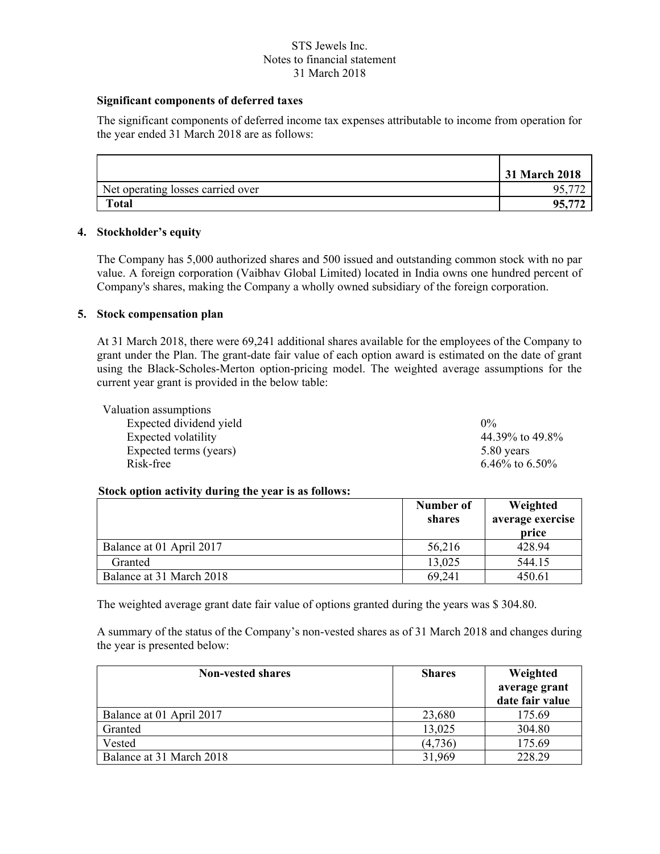# **Significant components of deferred taxes**

The significant components of deferred income tax expenses attributable to income from operation for the year ended 31 March 2018 are as follows:

|                                   | 31 March 2018 |
|-----------------------------------|---------------|
| Net operating losses carried over |               |
| <b>Total</b>                      | 95.           |

## **4. Stockholder's equity**

The Company has 5,000 authorized shares and 500 issued and outstanding common stock with no par value. A foreign corporation (Vaibhav Global Limited) located in India owns one hundred percent of Company's shares, making the Company a wholly owned subsidiary of the foreign corporation.

## **5. Stock compensation plan**

At 31 March 2018, there were 69,241 additional shares available for the employees of the Company to grant under the Plan. The grant-date fair value of each option award is estimated on the date of grant using the Black-Scholes-Merton option-pricing model. The weighted average assumptions for the current year grant is provided in the below table:

| Valuation assumptions   |                  |
|-------------------------|------------------|
| Expected dividend yield | $0\%$            |
| Expected volatility     | 44.39% to 49.8%  |
| Expected terms (years)  | 5.80 years       |
| Risk-free               | 6.46\% to 6.50\% |

### **Stock option activity during the year is as follows:**

|                          | Number of<br>shares | Weighted<br>average exercise<br>price |
|--------------------------|---------------------|---------------------------------------|
| Balance at 01 April 2017 | 56,216              | 428.94                                |
| Granted                  | 13,025              | 544.15                                |
| Balance at 31 March 2018 | 69,241              | 450.61                                |

The weighted average grant date fair value of options granted during the years was \$ 304.80.

A summary of the status of the Company's non-vested shares as of 31 March 2018 and changes during the year is presented below:

| <b>Non-vested shares</b> | <b>Shares</b> | Weighted<br>average grant<br>date fair value |
|--------------------------|---------------|----------------------------------------------|
| Balance at 01 April 2017 | 23,680        | 175.69                                       |
| Granted                  | 13,025        | 304.80                                       |
| Vested                   | (4,736)       | 175.69                                       |
| Balance at 31 March 2018 | 31,969        | 228.29                                       |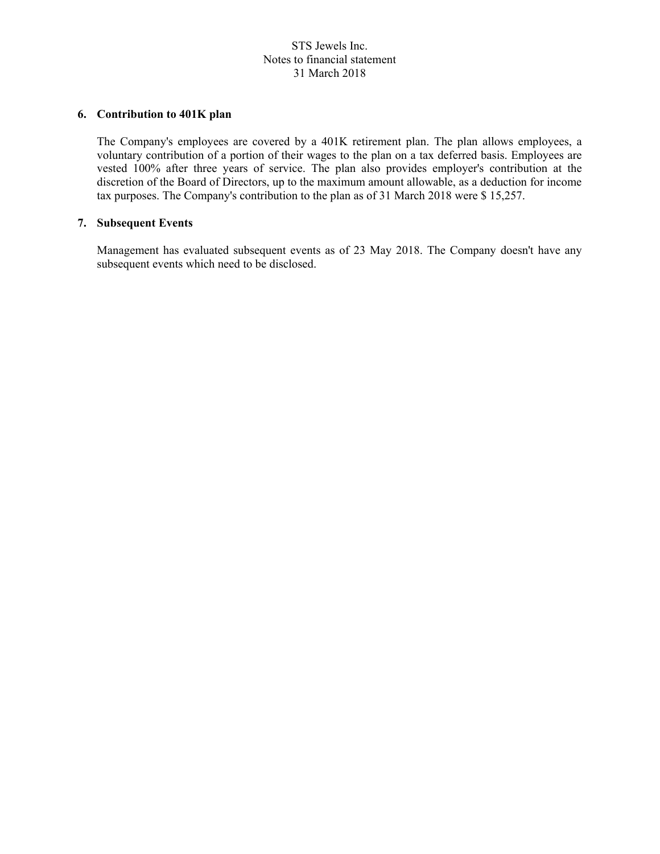## **6. Contribution to 401K plan**

The Company's employees are covered by a 401K retirement plan. The plan allows employees, a voluntary contribution of a portion of their wages to the plan on a tax deferred basis. Employees are vested 100% after three years of service. The plan also provides employer's contribution at the discretion of the Board of Directors, up to the maximum amount allowable, as a deduction for income tax purposes. The Company's contribution to the plan as of 31 March 2018 were \$ 15,257.

## **7. Subsequent Events**

Management has evaluated subsequent events as of 23 May 2018. The Company doesn't have any subsequent events which need to be disclosed.